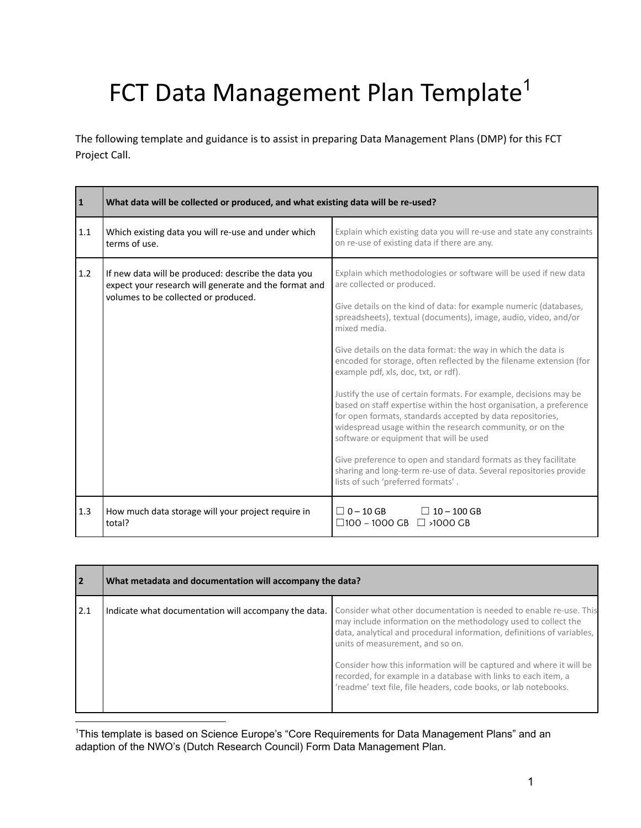## FCT Data Management Plan Template<sup>1</sup>

The following template and guidance is to assist in preparing Data Management Plans (DMP) for this FCT Project Call.

| $\vert$ 1 | What data will be collected or produced, and what existing data will be re-used?                                                                     |                                                                                                                                                                                                                                                                                                                                                                                                                                                                                                                                                                                                                                                                                                                                                                                                                                                                                                                                         |
|-----------|------------------------------------------------------------------------------------------------------------------------------------------------------|-----------------------------------------------------------------------------------------------------------------------------------------------------------------------------------------------------------------------------------------------------------------------------------------------------------------------------------------------------------------------------------------------------------------------------------------------------------------------------------------------------------------------------------------------------------------------------------------------------------------------------------------------------------------------------------------------------------------------------------------------------------------------------------------------------------------------------------------------------------------------------------------------------------------------------------------|
| 1.1       | Which existing data you will re-use and under which<br>terms of use.                                                                                 | Explain which existing data you will re-use and state any constraints<br>on re-use of existing data if there are any.                                                                                                                                                                                                                                                                                                                                                                                                                                                                                                                                                                                                                                                                                                                                                                                                                   |
| 1.2       | If new data will be produced: describe the data you<br>expect your research will generate and the format and<br>volumes to be collected or produced. | Explain which methodologies or software will be used if new data<br>are collected or produced.<br>Give details on the kind of data: for example numeric (databases,<br>spreadsheets), textual (documents), image, audio, video, and/or<br>mixed media.<br>Give details on the data format: the way in which the data is<br>encoded for storage, often reflected by the filename extension (for<br>example pdf, xls, doc, txt, or rdf).<br>Justify the use of certain formats. For example, decisions may be<br>based on staff expertise within the host organisation, a preference<br>for open formats, standards accepted by data repositories,<br>widespread usage within the research community, or on the<br>software or equipment that will be used<br>Give preference to open and standard formats as they facilitate<br>sharing and long-term re-use of data. Several repositories provide<br>lists of such 'preferred formats'. |
| 1.3       | How much data storage will your project require in<br>total?                                                                                         | $\Box$ 0 – 10 GB<br>$\Box$ 10 - 100 GB<br>□100 - 1000 GB □ >1000 GB                                                                                                                                                                                                                                                                                                                                                                                                                                                                                                                                                                                                                                                                                                                                                                                                                                                                     |

| <b>2</b> | What metadata and documentation will accompany the data? |                                                                                                                                                                                                                                                                                                                                                                                                                                                                |
|----------|----------------------------------------------------------|----------------------------------------------------------------------------------------------------------------------------------------------------------------------------------------------------------------------------------------------------------------------------------------------------------------------------------------------------------------------------------------------------------------------------------------------------------------|
| 12.1     | Indicate what documentation will accompany the data.     | Consider what other documentation is needed to enable re-use. This<br>may include information on the methodology used to collect the<br>data, analytical and procedural information, definitions of variables,<br>units of measurement, and so on.<br>Consider how this information will be captured and where it will be<br>recorded, for example in a database with links to each item, a<br>'readme' text file, file headers, code books, or lab notebooks. |

<sup>1</sup>This template is based on Science Europe's "Core Requirements for Data Management Plans" and an adaption of the NWO's (Dutch Research Council) Form Data Management Plan.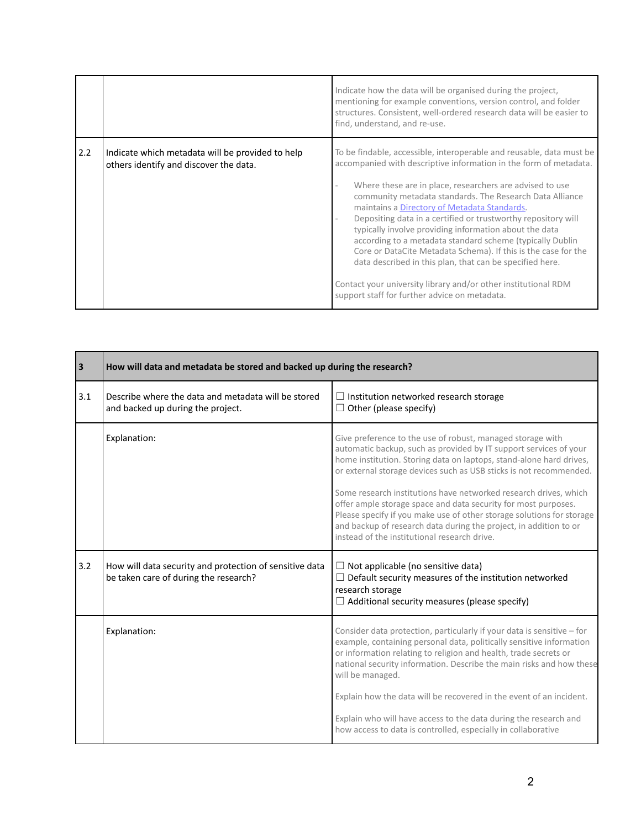|     |                                                                                            | Indicate how the data will be organised during the project,<br>mentioning for example conventions, version control, and folder<br>structures. Consistent, well-ordered research data will be easier to<br>find, understand, and re-use.                                                                                                                                                                                                                                                                                                                                                                                                                                                                                                                    |
|-----|--------------------------------------------------------------------------------------------|------------------------------------------------------------------------------------------------------------------------------------------------------------------------------------------------------------------------------------------------------------------------------------------------------------------------------------------------------------------------------------------------------------------------------------------------------------------------------------------------------------------------------------------------------------------------------------------------------------------------------------------------------------------------------------------------------------------------------------------------------------|
| 2.2 | Indicate which metadata will be provided to help<br>others identify and discover the data. | To be findable, accessible, interoperable and reusable, data must be<br>accompanied with descriptive information in the form of metadata.<br>Where these are in place, researchers are advised to use<br>community metadata standards. The Research Data Alliance<br>maintains a Directory of Metadata Standards.<br>Depositing data in a certified or trustworthy repository will<br>typically involve providing information about the data<br>according to a metadata standard scheme (typically Dublin<br>Core or DataCite Metadata Schema). If this is the case for the<br>data described in this plan, that can be specified here.<br>Contact your university library and/or other institutional RDM<br>support staff for further advice on metadata. |

| $\vert$ 3 | How will data and metadata be stored and backed up during the research?                          |                                                                                                                                                                                                                                                                                                                                                                                                                                                                                                                                                                                                                  |
|-----------|--------------------------------------------------------------------------------------------------|------------------------------------------------------------------------------------------------------------------------------------------------------------------------------------------------------------------------------------------------------------------------------------------------------------------------------------------------------------------------------------------------------------------------------------------------------------------------------------------------------------------------------------------------------------------------------------------------------------------|
| 3.1       | Describe where the data and metadata will be stored<br>and backed up during the project.         | $\Box$ Institution networked research storage<br>$\Box$ Other (please specify)                                                                                                                                                                                                                                                                                                                                                                                                                                                                                                                                   |
|           | Explanation:                                                                                     | Give preference to the use of robust, managed storage with<br>automatic backup, such as provided by IT support services of your<br>home institution. Storing data on laptops, stand-alone hard drives,<br>or external storage devices such as USB sticks is not recommended.<br>Some research institutions have networked research drives, which<br>offer ample storage space and data security for most purposes.<br>Please specify if you make use of other storage solutions for storage<br>and backup of research data during the project, in addition to or<br>instead of the institutional research drive. |
| 3.2       | How will data security and protection of sensitive data<br>be taken care of during the research? | $\Box$ Not applicable (no sensitive data)<br>$\Box$ Default security measures of the institution networked<br>research storage<br>$\Box$ Additional security measures (please specify)                                                                                                                                                                                                                                                                                                                                                                                                                           |
|           | Explanation:                                                                                     | Consider data protection, particularly if your data is sensitive – for<br>example, containing personal data, politically sensitive information<br>or information relating to religion and health, trade secrets or<br>national security information. Describe the main risks and how these<br>will be managed.                                                                                                                                                                                                                                                                                                   |
|           |                                                                                                  | Explain how the data will be recovered in the event of an incident.<br>Explain who will have access to the data during the research and<br>how access to data is controlled, especially in collaborative                                                                                                                                                                                                                                                                                                                                                                                                         |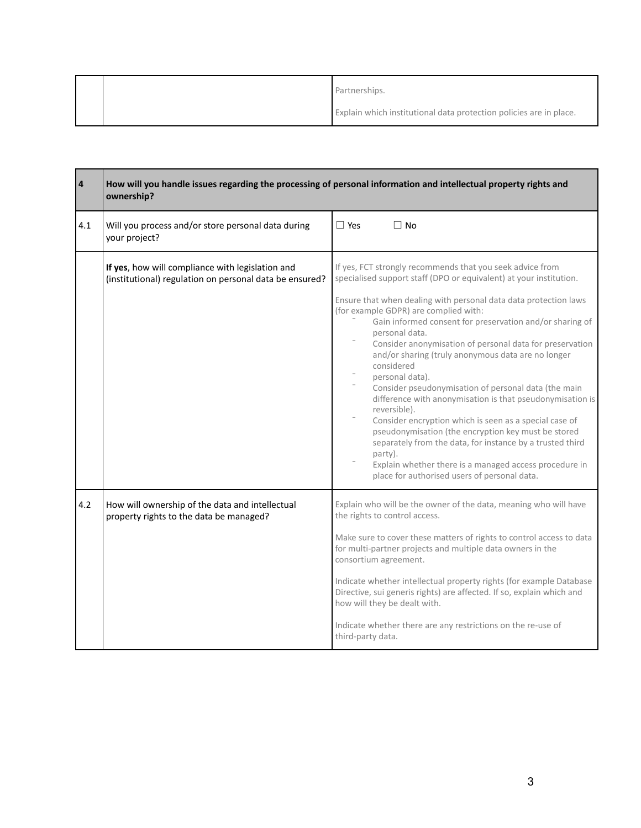|  | Partnerships.                                                      |
|--|--------------------------------------------------------------------|
|  | Explain which institutional data protection policies are in place. |

| $\pmb{4}$ | How will you handle issues regarding the processing of personal information and intellectual property rights and<br>ownership? |                                                                                                                                                                                                                                                                                                                                                                                                                                                                                                                                                                                                                                                                                                                                                                                    |
|-----------|--------------------------------------------------------------------------------------------------------------------------------|------------------------------------------------------------------------------------------------------------------------------------------------------------------------------------------------------------------------------------------------------------------------------------------------------------------------------------------------------------------------------------------------------------------------------------------------------------------------------------------------------------------------------------------------------------------------------------------------------------------------------------------------------------------------------------------------------------------------------------------------------------------------------------|
| 4.1       | Will you process and/or store personal data during<br>your project?                                                            | $\Box$ Yes<br>$\Box$ No                                                                                                                                                                                                                                                                                                                                                                                                                                                                                                                                                                                                                                                                                                                                                            |
|           | If yes, how will compliance with legislation and<br>(institutional) regulation on personal data be ensured?                    | If yes, FCT strongly recommends that you seek advice from<br>specialised support staff (DPO or equivalent) at your institution.                                                                                                                                                                                                                                                                                                                                                                                                                                                                                                                                                                                                                                                    |
|           |                                                                                                                                | Ensure that when dealing with personal data data protection laws<br>(for example GDPR) are complied with:<br>Gain informed consent for preservation and/or sharing of<br>personal data.<br>Consider anonymisation of personal data for preservation<br>and/or sharing (truly anonymous data are no longer<br>considered<br>personal data).<br>Consider pseudonymisation of personal data (the main<br>difference with anonymisation is that pseudonymisation is<br>reversible).<br>Consider encryption which is seen as a special case of<br>pseudonymisation (the encryption key must be stored<br>separately from the data, for instance by a trusted third<br>party).<br>Explain whether there is a managed access procedure in<br>place for authorised users of personal data. |
| 4.2       | How will ownership of the data and intellectual<br>property rights to the data be managed?                                     | Explain who will be the owner of the data, meaning who will have<br>the rights to control access.<br>Make sure to cover these matters of rights to control access to data<br>for multi-partner projects and multiple data owners in the<br>consortium agreement.<br>Indicate whether intellectual property rights (for example Database<br>Directive, sui generis rights) are affected. If so, explain which and<br>how will they be dealt with.<br>Indicate whether there are any restrictions on the re-use of<br>third-party data.                                                                                                                                                                                                                                              |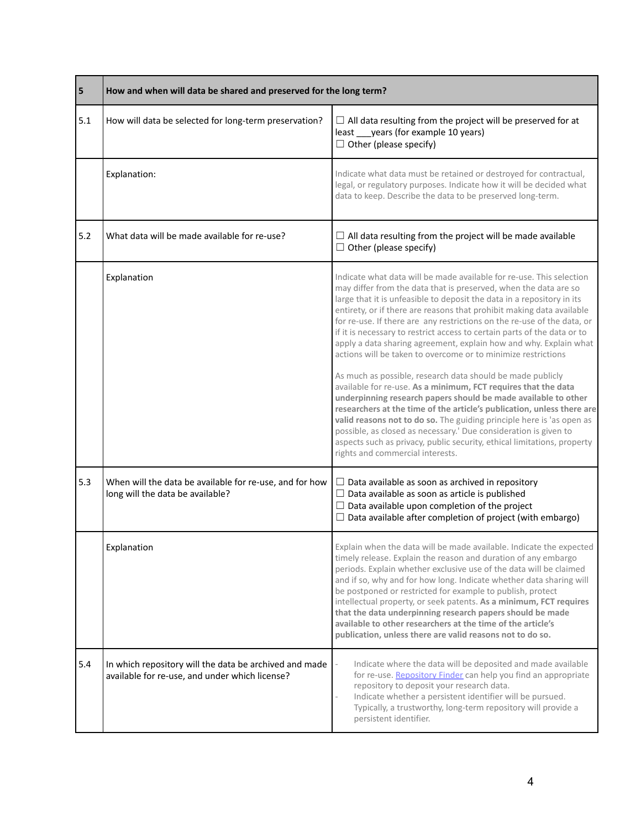| 5   | How and when will data be shared and preserved for the long term?                                        |                                                                                                                                                                                                                                                                                                                                                                                                                                                                                                                                                                                                                                                                                                                                                                                                                                                                                                                                                                                                                                                                                                                                  |
|-----|----------------------------------------------------------------------------------------------------------|----------------------------------------------------------------------------------------------------------------------------------------------------------------------------------------------------------------------------------------------------------------------------------------------------------------------------------------------------------------------------------------------------------------------------------------------------------------------------------------------------------------------------------------------------------------------------------------------------------------------------------------------------------------------------------------------------------------------------------------------------------------------------------------------------------------------------------------------------------------------------------------------------------------------------------------------------------------------------------------------------------------------------------------------------------------------------------------------------------------------------------|
| 5.1 | How will data be selected for long-term preservation?                                                    | $\Box$ All data resulting from the project will be preserved for at<br>least ____ years (for example 10 years)<br>$\Box$ Other (please specify)                                                                                                                                                                                                                                                                                                                                                                                                                                                                                                                                                                                                                                                                                                                                                                                                                                                                                                                                                                                  |
|     | Explanation:                                                                                             | Indicate what data must be retained or destroyed for contractual,<br>legal, or regulatory purposes. Indicate how it will be decided what<br>data to keep. Describe the data to be preserved long-term.                                                                                                                                                                                                                                                                                                                                                                                                                                                                                                                                                                                                                                                                                                                                                                                                                                                                                                                           |
| 5.2 | What data will be made available for re-use?                                                             | $\Box$ All data resulting from the project will be made available<br>$\Box$ Other (please specify)                                                                                                                                                                                                                                                                                                                                                                                                                                                                                                                                                                                                                                                                                                                                                                                                                                                                                                                                                                                                                               |
|     | Explanation                                                                                              | Indicate what data will be made available for re-use. This selection<br>may differ from the data that is preserved, when the data are so<br>large that it is unfeasible to deposit the data in a repository in its<br>entirety, or if there are reasons that prohibit making data available<br>for re-use. If there are any restrictions on the re-use of the data, or<br>if it is necessary to restrict access to certain parts of the data or to<br>apply a data sharing agreement, explain how and why. Explain what<br>actions will be taken to overcome or to minimize restrictions<br>As much as possible, research data should be made publicly<br>available for re-use. As a minimum, FCT requires that the data<br>underpinning research papers should be made available to other<br>researchers at the time of the article's publication, unless there are<br>valid reasons not to do so. The guiding principle here is 'as open as<br>possible, as closed as necessary.' Due consideration is given to<br>aspects such as privacy, public security, ethical limitations, property<br>rights and commercial interests. |
| 5.3 | When will the data be available for re-use, and for how<br>long will the data be available?              | $\Box$ Data available as soon as archived in repository<br>$\Box$ Data available as soon as article is published<br>$\Box$ Data available upon completion of the project<br>$\Box$ Data available after completion of project (with embargo)                                                                                                                                                                                                                                                                                                                                                                                                                                                                                                                                                                                                                                                                                                                                                                                                                                                                                     |
|     | Explanation                                                                                              | Explain when the data will be made available. Indicate the expected<br>timely release. Explain the reason and duration of any embargo<br>periods. Explain whether exclusive use of the data will be claimed<br>and if so, why and for how long. Indicate whether data sharing will<br>be postponed or restricted for example to publish, protect<br>intellectual property, or seek patents. As a minimum, FCT requires<br>that the data underpinning research papers should be made<br>available to other researchers at the time of the article's<br>publication, unless there are valid reasons not to do so.                                                                                                                                                                                                                                                                                                                                                                                                                                                                                                                  |
| 5.4 | In which repository will the data be archived and made<br>available for re-use, and under which license? | Indicate where the data will be deposited and made available<br>for re-use. Repository Finder can help you find an appropriate<br>repository to deposit your research data.<br>Indicate whether a persistent identifier will be pursued.<br>Typically, a trustworthy, long-term repository will provide a<br>persistent identifier.                                                                                                                                                                                                                                                                                                                                                                                                                                                                                                                                                                                                                                                                                                                                                                                              |